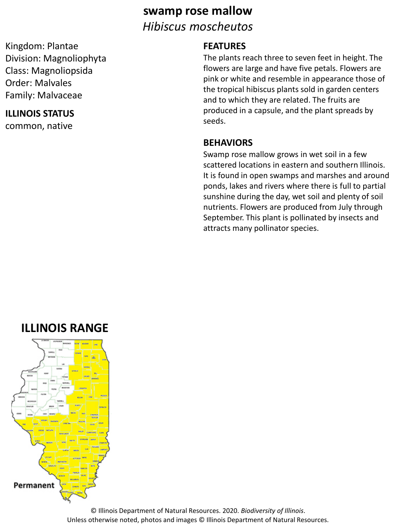# **swamp rose mallow** *Hibiscus moscheutos*

Kingdom: Plantae Division: Magnoliophyta Class: Magnoliopsida Order: Malvales Family: Malvaceae

### **ILLINOIS STATUS**

common, native

### **FEATURES**

The plants reach three to seven feet in height. The flowers are large and have five petals. Flowers are pink or white and resemble in appearance those of the tropical hibiscus plants sold in garden centers and to which they are related. The fruits are produced in a capsule, and the plant spreads by seeds.

#### **BEHAVIORS**

Swamp rose mallow grows in wet soil in a few scattered locations in eastern and southern Illinois. It is found in open swamps and marshes and around ponds, lakes and rivers where there is full to partial sunshine during the day, wet soil and plenty of soil nutrients. Flowers are produced from July through September. This plant is pollinated by insects and attracts many pollinator species.

# **ILLINOIS RANGE**



© Illinois Department of Natural Resources. 2020. *Biodiversity of Illinois*. Unless otherwise noted, photos and images © Illinois Department of Natural Resources.